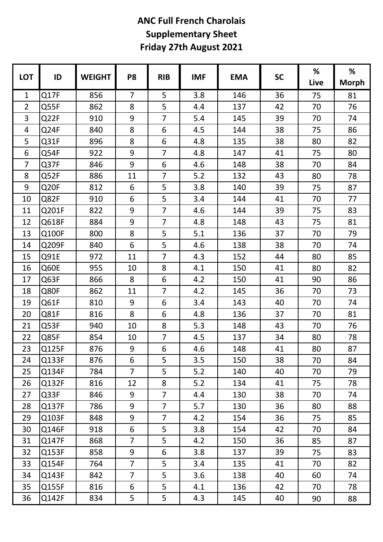|            |                  |               |                |                |            |            | <b>SC</b> | %    | %            |
|------------|------------------|---------------|----------------|----------------|------------|------------|-----------|------|--------------|
| <b>LOT</b> | ID               | <b>WEIGHT</b> | P <sub>8</sub> | <b>RIB</b>     | <b>IMF</b> | <b>EMA</b> |           | Live | <b>Morph</b> |
| 1          | Q17F             | 856           | $\overline{7}$ | 5              | 3.8        | 146        | 36        | 75   | 81           |
| 2          | Q55F             | 862           | 8              | 5              | 4.4        | 137        | 42        | 70   | 76           |
| 3          | Q22F             | 910           | 9              | $\overline{7}$ | 5.4        | 145        | 39        | 70   | 74           |
| 4          | Q24F             | 840           | 8              | 6              | 4.5        | 144        | 38        | 75   | 86           |
| 5          | Q31F             | 896           | 8              | 6              | 4.8        | 135        | 38        | 80   | 82           |
| 6          | Q54F             | 922           | 9              | $\overline{7}$ | 4.8        | 147        | 41        | 75   | 80           |
| 7          | Q37F             | 846           | 9              | 6              | 4.6        | 148        | 38        | 70   | 84           |
| 8          | Q52F             | 886           | 11             | $\overline{7}$ | 5.2        | 132        | 43        | 80   | 78           |
| 9          | Q <sub>20F</sub> | 812           | 6              | 5              | 3.8        | 140        | 39        | 75   | 87           |
| 10         | Q82F             | 910           | 6              | 5              | 3.4        | 144        | 41        | 70   | 77           |
| 11         | Q201F            | 822           | 9              | $\overline{7}$ | 4.6        | 144        | 39        | 75   | 83           |
| 12         | Q618F            | 884           | 9              | $\overline{7}$ | 4.8        | 148        | 43        | 75   | 81           |
| 13         | Q100F            | 800           | 8              | 5              | 5.1        | 136        | 37        | 70   | 79           |
| 14         | Q209F            | 840           | 6              | 5              | 4.6        | 138        | 38        | 70   | 74           |
| 15         | Q91E             | 972           | 11             | $\overline{7}$ | 4.3        | 152        | 44        | 80   | 85           |
| 16         | Q60E             | 955           | 10             | 8              | 4.1        | 150        | 41        | 80   | 82           |
| 17         | Q63F             | 866           | 8              | 6              | 4.2        | 150        | 41        | 90   | 86           |
| 18         | Q80F             | 862           | 11             | $\overline{7}$ | 4.2        | 145        | 36        | 70   | 73           |
| 19         | Q61F             | 810           | 9              | 6              | 3.4        | 143        | 40        | 70   | 74           |
| 20         | Q81F             | 816           | 8              | 6              | 4.8        | 136        | 37        | 70   | 81           |
| 21         | Q53F             | 940           | 10             | 8              | 5.3        | 148        | 43        | 70   | 76           |
| 22         | Q85F             | 854           | 10             | $\overline{7}$ | 4.5        | 137        | 34        | 80   | 78           |
| 23         | Q125F            | 876           | 9              | 6              | 4.6        | 148        | 41        | 80   | 87           |
| 24         | Q133F            | 876           | 6              | 5              | 3.5        | 150        | 38        | 70   | 84           |
| 25         | Q134F            | 784           | $\overline{7}$ | 5              | 5.2        | 140        | 40        | 70   | 79           |
| 26         | Q132F            | 816           | 12             | 8              | 5.2        | 134        | 41        | 75   | 78           |
| 27         | Q33F             | 846           | 9              | $\overline{7}$ | 4.4        | 130        | 38        | 70   | 74           |
| 28         | Q137F            | 786           | 9              | $\overline{7}$ | 5.7        | 130        | 36        | 80   | 88           |
| 29         | Q103F            | 848           | 9              | $\overline{7}$ | 4.2        | 154        | 36        | 75   | 85           |
| 30         | Q146F            | 918           | $6\phantom{1}$ | 5              | 3.8        | 154        | 42        | 70   | 84           |
| 31         | Q147F            | 868           | $\overline{7}$ | 5              | 4.2        | 150        | 36        | 85   | 87           |
| 32         | Q153F            | 858           | 9              | 6              | 3.8        | 137        | 39        | 75   | 83           |
| 33         | Q154F            | 764           | $\overline{7}$ | 5              | 3.4        | 135        | 41        | 70   | 82           |
| 34         | Q143F            | 842           | $\overline{7}$ | 5              | 3.6        | 138        | 40        | 60   | 74           |
| 35         | Q155F            | 816           | 6              | 5              | 4.1        | 136        | 42        | 70   | 78           |
| 36         | Q142F            | 834           | 5              | 5              | 4.3        | 145        | 40        | 90   | 88           |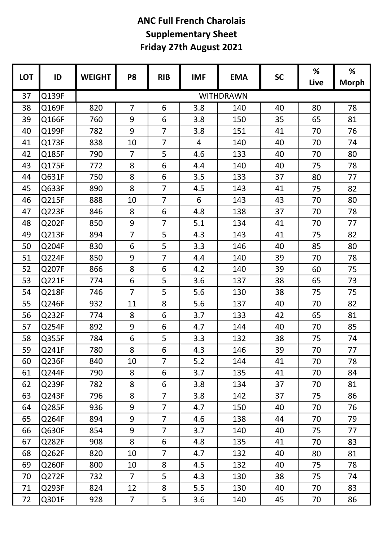| <b>LOT</b> | ID    | <b>WEIGHT</b>    | P <sub>8</sub> | <b>RIB</b>     | <b>IMF</b> | <b>EMA</b> | <b>SC</b> | %    | %            |
|------------|-------|------------------|----------------|----------------|------------|------------|-----------|------|--------------|
|            |       |                  |                |                |            |            |           | Live | <b>Morph</b> |
| 37         | Q139F | <b>WITHDRAWN</b> |                |                |            |            |           |      |              |
| 38         | Q169F | 820              | $\overline{7}$ | 6              | 3.8        | 140        | 40        | 80   | 78           |
| 39         | Q166F | 760              | 9              | 6              | 3.8        | 150        | 35        | 65   | 81           |
| 40         | Q199F | 782              | 9              | $\overline{7}$ | 3.8        | 151        | 41        | 70   | 76           |
| 41         | Q173F | 838              | 10             | $\overline{7}$ | 4          | 140        | 40        | 70   | 74           |
| 42         | Q185F | 790              | $\overline{7}$ | 5              | 4.6        | 133        | 40        | 70   | 80           |
| 43         | Q175F | 772              | 8              | 6              | 4.4        | 140        | 40        | 75   | 78           |
| 44         | Q631F | 750              | 8              | 6              | 3.5        | 133        | 37        | 80   | 77           |
| 45         | Q633F | 890              | 8              | $\overline{7}$ | 4.5        | 143        | 41        | 75   | 82           |
| 46         | Q215F | 888              | 10             | $\overline{7}$ | 6          | 143        | 43        | 70   | 80           |
| 47         | Q223F | 846              | 8              | 6              | 4.8        | 138        | 37        | 70   | 78           |
| 48         | Q202F | 850              | 9              | $\overline{7}$ | 5.1        | 134        | 41        | 70   | 77           |
| 49         | Q213F | 894              | $\overline{7}$ | 5              | 4.3        | 143        | 41        | 75   | 82           |
| 50         | Q204F | 830              | 6              | 5              | 3.3        | 146        | 40        | 85   | 80           |
| 51         | Q224F | 850              | 9              | $\overline{7}$ | 4.4        | 140        | 39        | 70   | 78           |
| 52         | Q207F | 866              | 8              | 6              | 4.2        | 140        | 39        | 60   | 75           |
| 53         | Q221F | 774              | 6              | 5              | 3.6        | 137        | 38        | 65   | 73           |
| 54         | Q218F | 746              | $\overline{7}$ | 5              | 5.6        | 130        | 38        | 75   | 75           |
| 55         | Q246F | 932              | 11             | 8              | 5.6        | 137        | 40        | 70   | 82           |
| 56         | Q232F | 774              | 8              | 6              | 3.7        | 133        | 42        | 65   | 81           |
| 57         | Q254F | 892              | 9              | 6              | 4.7        | 144        | 40        | 70   | 85           |
| 58         | Q355F | 784              | 6              | 5              | 3.3        | 132        | 38        | 75   | 74           |
| 59         | Q241F | 780              | 8              | 6              | 4.3        | 146        | 39        | 70   | 77           |
| 60         | Q236F | 840              | 10             | $\overline{7}$ | 5.2        | 144        | 41        | 70   | 78           |
| 61         | Q244F | 790              | 8              | 6              | 3.7        | 135        | 41        | 70   | 84           |
| 62         | Q239F | 782              | 8              | 6              | 3.8        | 134        | 37        | 70   | 81           |
| 63         | Q243F | 796              | 8              | $\overline{7}$ | 3.8        | 142        | 37        | 75   | 86           |
| 64         | Q285F | 936              | 9              | $\overline{7}$ | 4.7        | 150        | 40        | 70   | 76           |
| 65         | Q264F | 894              | 9              | 7              | 4.6        | 138        | 44        | 70   | 79           |
| 66         | Q630F | 854              | 9              | $\overline{7}$ | 3.7        | 140        | 40        | 75   | 77           |
| 67         | Q282F | 908              | 8              | 6              | 4.8        | 135        | 41        | 70   | 83           |
| 68         | Q262F | 820              | 10             | $\overline{7}$ | 4.7        | 132        | 40        | 80   | 81           |
| 69         | Q260F | 800              | 10             | 8              | 4.5        | 132        | 40        | 75   | 78           |
| 70         | Q272F | 732              | $\overline{7}$ | 5              | 4.3        | 130        | 38        | 75   | 74           |
| 71         | Q293F | 824              | 12             | 8              | 5.5        | 130        | 40        | 70   | 83           |
| 72         | Q301F | 928              | $\overline{7}$ | 5              | 3.6        | 140        | 45        | 70   | 86           |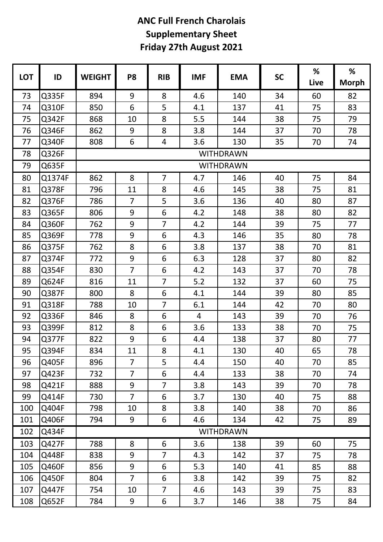|            |        |                  |                  |                |            |            | <b>SC</b> | %    | %            |  |  |
|------------|--------|------------------|------------------|----------------|------------|------------|-----------|------|--------------|--|--|
| <b>LOT</b> | ID     | <b>WEIGHT</b>    | P <sub>8</sub>   | <b>RIB</b>     | <b>IMF</b> | <b>EMA</b> |           | Live | <b>Morph</b> |  |  |
| 73         | Q335F  | 894              | 9                | 8              | 4.6        | 140        | 34        | 60   | 82           |  |  |
| 74         | Q310F  | 850              | 6                | 5              | 4.1        | 137        | 41        | 75   | 83           |  |  |
| 75         | Q342F  | 868              | 10               | 8              | 5.5        | 144        | 38        | 75   | 79           |  |  |
| 76         | Q346F  | 862              | 9                | 8              | 3.8        | 144        | 37        | 70   | 78           |  |  |
| 77         | Q340F  | 808              | 6                | 4              | 3.6        | 130        | 35        | 70   | 74           |  |  |
| 78         | Q326F  | <b>WITHDRAWN</b> |                  |                |            |            |           |      |              |  |  |
| 79         | Q635F  |                  | <b>WITHDRAWN</b> |                |            |            |           |      |              |  |  |
| 80         | Q1374F | 862              | 8                | $\overline{7}$ | 4.7        | 146        | 40        | 75   | 84           |  |  |
| 81         | Q378F  | 796              | 11               | 8              | 4.6        | 145        | 38        | 75   | 81           |  |  |
| 82         | Q376F  | 786              | $\overline{7}$   | 5              | 3.6        | 136        | 40        | 80   | 87           |  |  |
| 83         | Q365F  | 806              | 9                | 6              | 4.2        | 148        | 38        | 80   | 82           |  |  |
| 84         | Q360F  | 762              | 9                | $\overline{7}$ | 4.2        | 144        | 39        | 75   | 77           |  |  |
| 85         | Q369F  | 778              | 9                | 6              | 4.3        | 146        | 35        | 80   | 78           |  |  |
| 86         | Q375F  | 762              | 8                | 6              | 3.8        | 137        | 38        | 70   | 81           |  |  |
| 87         | Q374F  | 772              | 9                | 6              | 6.3        | 128        | 37        | 80   | 82           |  |  |
| 88         | Q354F  | 830              | $\overline{7}$   | 6              | 4.2        | 143        | 37        | 70   | 78           |  |  |
| 89         | Q624F  | 816              | 11               | $\overline{7}$ | 5.2        | 132        | 37        | 60   | 75           |  |  |
| 90         | Q387F  | 800              | 8                | 6              | 4.1        | 144        | 39        | 80   | 85           |  |  |
| 91         | Q318F  | 788              | 10               | $\overline{7}$ | 6.1        | 144        | 42        | 70   | 80           |  |  |
| 92         | Q336F  | 846              | 8                | 6              | 4          | 143        | 39        | 70   | 76           |  |  |
| 93         | Q399F  | 812              | 8                | 6              | 3.6        | 133        | 38        | 70   | 75           |  |  |
| 94         | Q377F  | 822              | 9                | 6              | 4.4        | 138        | 37        | 80   | 77           |  |  |
| 95         | Q394F  | 834              | 11               | 8              | 4.1        | 130        | 40        | 65   | 78           |  |  |
| 96         | Q405F  | 896              | $\overline{7}$   | 5              | 4.4        | 150        | 40        | 70   | 85           |  |  |
| 97         | Q423F  | 732              | $\overline{7}$   | 6              | 4.4        | 133        | 38        | 70   | 74           |  |  |
| 98         | Q421F  | 888              | 9                | $\overline{7}$ | 3.8        | 143        | 39        | 70   | 78           |  |  |
| 99         | Q414F  | 730              | $\overline{7}$   | 6              | 3.7        | 130        | 40        | 75   | 88           |  |  |
| 100        | Q404F  | 798              | 10               | 8              | 3.8        | 140        | 38        | 70   | 86           |  |  |
| 101        | Q406F  | 794              | 9                | 6              | 4.6        | 134        | 42        | 75   | 89           |  |  |
| 102        | Q434F  | <b>WITHDRAWN</b> |                  |                |            |            |           |      |              |  |  |
| 103        | Q427F  | 788              | 8                | 6              | 3.6        | 138        | 39        | 60   | 75           |  |  |
| 104        | Q448F  | 838              | 9                | $\overline{7}$ | 4.3        | 142        | 37        | 75   | 78           |  |  |
| 105        | Q460F  | 856              | 9                | 6              | 5.3        | 140        | 41        | 85   | 88           |  |  |
| 106        | Q450F  | 804              | $\overline{7}$   | 6              | 3.8        | 142        | 39        | 75   | 82           |  |  |
| 107        | Q447F  | 754              | 10               | $\overline{7}$ | 4.6        | 143        | 39        | 75   | 83           |  |  |
| 108        | Q652F  | 784              | 9                | 6              | 3.7        | 146        | 38        | 75   | 84           |  |  |